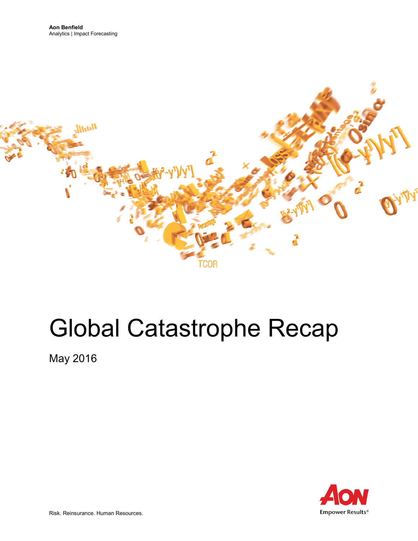

# Global Catastrophe Recap

May 2016



Risk. Reinsurance. Human Resources.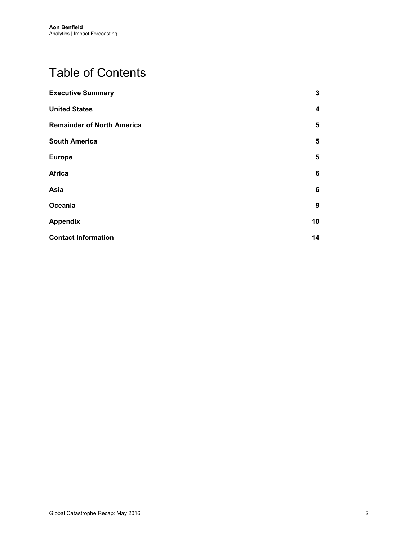# Table of Contents

| <b>Executive Summary</b>          | 3                       |
|-----------------------------------|-------------------------|
| <b>United States</b>              | $\overline{\mathbf{4}}$ |
| <b>Remainder of North America</b> | 5                       |
| <b>South America</b>              | 5                       |
| <b>Europe</b>                     | 5                       |
| <b>Africa</b>                     | 6                       |
| Asia                              | 6                       |
| Oceania                           | 9                       |
| <b>Appendix</b>                   | 10                      |
| <b>Contact Information</b>        | 14                      |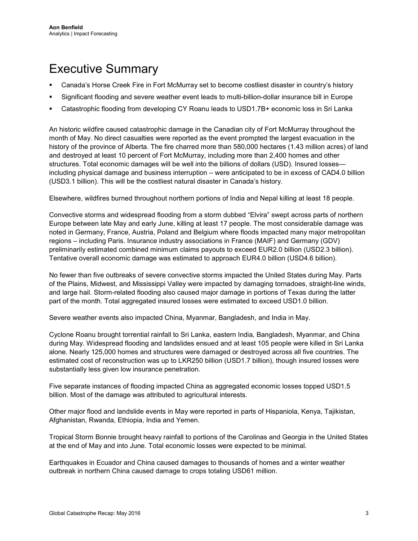# <span id="page-2-0"></span>Executive Summary

- Canada's Horse Creek Fire in Fort McMurray set to become costliest disaster in country's history
- Significant flooding and severe weather event leads to multi-billion-dollar insurance bill in Europe
- Catastrophic flooding from developing CY Roanu leads to USD1.7B+ economic loss in Sri Lanka

An historic wildfire caused catastrophic damage in the Canadian city of Fort McMurray throughout the month of May. No direct casualties were reported as the event prompted the largest evacuation in the history of the province of Alberta. The fire charred more than 580,000 hectares (1.43 million acres) of land and destroyed at least 10 percent of Fort McMurray, including more than 2,400 homes and other structures. Total economic damages will be well into the billions of dollars (USD). Insured losses including physical damage and business interruption – were anticipated to be in excess of CAD4.0 billion (USD3.1 billion). This will be the costliest natural disaster in Canada's history.

Elsewhere, wildfires burned throughout northern portions of India and Nepal killing at least 18 people.

Convective storms and widespread flooding from a storm dubbed "Elvira" swept across parts of northern Europe between late May and early June, killing at least 17 people. The most considerable damage was noted in Germany, France, Austria, Poland and Belgium where floods impacted many major metropolitan regions – including Paris. Insurance industry associations in France (MAIF) and Germany (GDV) preliminarily estimated combined minimum claims payouts to exceed EUR2.0 billion (USD2.3 billion). Tentative overall economic damage was estimated to approach EUR4.0 billion (USD4.6 billion).

No fewer than five outbreaks of severe convective storms impacted the United States during May. Parts of the Plains, Midwest, and Mississippi Valley were impacted by damaging tornadoes, straight-line winds, and large hail. Storm-related flooding also caused major damage in portions of Texas during the latter part of the month. Total aggregated insured losses were estimated to exceed USD1.0 billion.

Severe weather events also impacted China, Myanmar, Bangladesh, and India in May.

Cyclone Roanu brought torrential rainfall to Sri Lanka, eastern India, Bangladesh, Myanmar, and China during May. Widespread flooding and landslides ensued and at least 105 people were killed in Sri Lanka alone. Nearly 125,000 homes and structures were damaged or destroyed across all five countries. The estimated cost of reconstruction was up to LKR250 billion (USD1.7 billion), though insured losses were substantially less given low insurance penetration.

Five separate instances of flooding impacted China as aggregated economic losses topped USD1.5 billion. Most of the damage was attributed to agricultural interests.

Other major flood and landslide events in May were reported in parts of Hispaniola, Kenya, Tajikistan, Afghanistan, Rwanda, Ethiopia, India and Yemen.

Tropical Storm Bonnie brought heavy rainfall to portions of the Carolinas and Georgia in the United States at the end of May and into June. Total economic losses were expected to be minimal.

Earthquakes in Ecuador and China caused damages to thousands of homes and a winter weather outbreak in northern China caused damage to crops totaling USD61 million.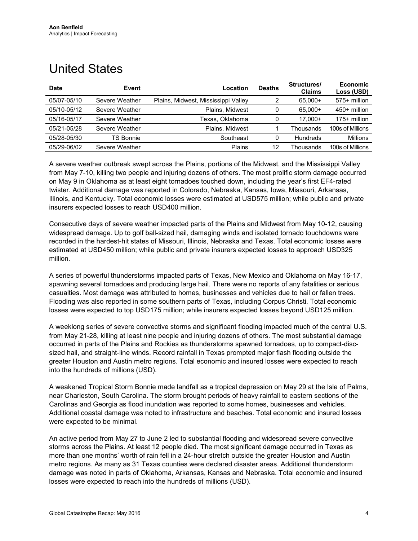## <span id="page-3-0"></span>United States

| Date        | Event            | Location                            | <b>Deaths</b> | Structures/<br><b>Claims</b> | <b>Economic</b><br>Loss (USD) |
|-------------|------------------|-------------------------------------|---------------|------------------------------|-------------------------------|
| 05/07-05/10 | Severe Weather   | Plains, Midwest, Mississippi Valley |               | 65,000+                      | 575+ million                  |
| 05/10-05/12 | Severe Weather   | Plains, Midwest                     |               | 65.000+                      | 450+ million                  |
| 05/16-05/17 | Severe Weather   | Texas, Oklahoma                     |               | $17.000+$                    | $175+$ million                |
| 05/21-05/28 | Severe Weather   | Plains. Midwest                     |               | Thousands                    | 100s of Millions              |
| 05/28-05/30 | <b>TS Bonnie</b> | Southeast                           |               | Hundreds                     | Millions                      |
| 05/29-06/02 | Severe Weather   | Plains                              | 12            | Thousands                    | 100s of Millions              |

A severe weather outbreak swept across the Plains, portions of the Midwest, and the Mississippi Valley from May 7-10, killing two people and injuring dozens of others. The most prolific storm damage occurred on May 9 in Oklahoma as at least eight tornadoes touched down, including the year's first EF4-rated twister. Additional damage was reported in Colorado, Nebraska, Kansas, Iowa, Missouri, Arkansas, Illinois, and Kentucky. Total economic losses were estimated at USD575 million; while public and private insurers expected losses to reach USD400 million.

Consecutive days of severe weather impacted parts of the Plains and Midwest from May 10-12, causing widespread damage. Up to golf ball-sized hail, damaging winds and isolated tornado touchdowns were recorded in the hardest-hit states of Missouri, Illinois, Nebraska and Texas. Total economic losses were estimated at USD450 million; while public and private insurers expected losses to approach USD325 million.

A series of powerful thunderstorms impacted parts of Texas, New Mexico and Oklahoma on May 16-17, spawning several tornadoes and producing large hail. There were no reports of any fatalities or serious casualties. Most damage was attributed to homes, businesses and vehicles due to hail or fallen trees. Flooding was also reported in some southern parts of Texas, including Corpus Christi. Total economic losses were expected to top USD175 million; while insurers expected losses beyond USD125 million.

A weeklong series of severe convective storms and significant flooding impacted much of the central U.S. from May 21-28, killing at least nine people and injuring dozens of others. The most substantial damage occurred in parts of the Plains and Rockies as thunderstorms spawned tornadoes, up to compact-discsized hail, and straight-line winds. Record rainfall in Texas prompted major flash flooding outside the greater Houston and Austin metro regions. Total economic and insured losses were expected to reach into the hundreds of millions (USD).

A weakened Tropical Storm Bonnie made landfall as a tropical depression on May 29 at the Isle of Palms, near Charleston, South Carolina. The storm brought periods of heavy rainfall to eastern sections of the Carolinas and Georgia as flood inundation was reported to some homes, businesses and vehicles. Additional coastal damage was noted to infrastructure and beaches. Total economic and insured losses were expected to be minimal.

An active period from May 27 to June 2 led to substantial flooding and widespread severe convective storms across the Plains. At least 12 people died. The most significant damage occurred in Texas as more than one months' worth of rain fell in a 24-hour stretch outside the greater Houston and Austin metro regions. As many as 31 Texas counties were declared disaster areas. Additional thunderstorm damage was noted in parts of Oklahoma, Arkansas, Kansas and Nebraska. Total economic and insured losses were expected to reach into the hundreds of millions (USD).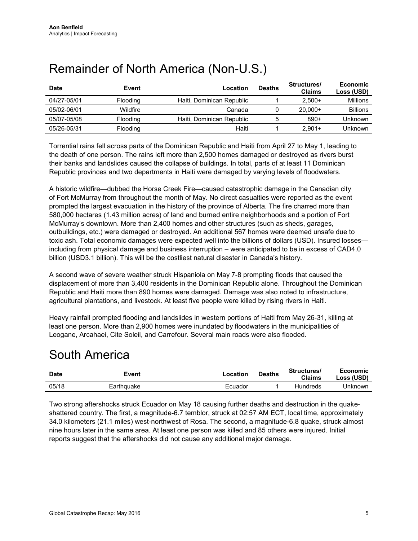<span id="page-4-0"></span>

| <b>Date</b> | Event           | Location                  | <b>Deaths</b> | Structures/<br><b>Claims</b> | Economic<br>Loss (USD) |
|-------------|-----------------|---------------------------|---------------|------------------------------|------------------------|
| 04/27-05/01 | <b>Flooding</b> | Haiti, Dominican Republic |               | $2.500+$                     | Millions               |
| 05/02-06/01 | Wildfire        | Canada                    |               | $20.000+$                    | <b>Billions</b>        |
| 05/07-05/08 | <b>Flooding</b> | Haiti, Dominican Republic |               | $890+$                       | Unknown                |
| 05/26-05/31 | <b>Flooding</b> | Haiti                     |               | $2.901+$                     | Unknown                |

Torrential rains fell across parts of the Dominican Republic and Haiti from April 27 to May 1, leading to the death of one person. The rains left more than 2,500 homes damaged or destroyed as rivers burst their banks and landslides caused the collapse of buildings. In total, parts of at least 11 Dominican Republic provinces and two departments in Haiti were damaged by varying levels of floodwaters.

A historic wildfire—dubbed the Horse Creek Fire—caused catastrophic damage in the Canadian city of Fort McMurray from throughout the month of May. No direct casualties were reported as the event prompted the largest evacuation in the history of the province of Alberta. The fire charred more than 580,000 hectares (1.43 million acres) of land and burned entire neighborhoods and a portion of Fort McMurray's downtown. More than 2,400 homes and other structures (such as sheds, garages, outbuildings, etc.) were damaged or destroyed. An additional 567 homes were deemed unsafe due to toxic ash. Total economic damages were expected well into the billions of dollars (USD). Insured losses including from physical damage and business interruption – were anticipated to be in excess of CAD4.0 billion (USD3.1 billion). This will be the costliest natural disaster in Canada's history.

<span id="page-4-1"></span>A second wave of severe weather struck Hispaniola on May 7-8 prompting floods that caused the displacement of more than 3,400 residents in the Dominican Republic alone. Throughout the Dominican Republic and Haiti more than 890 homes were damaged. Damage was also noted to infrastructure, agricultural plantations, and livestock. At least five people were killed by rising rivers in Haiti.

Heavy rainfall prompted flooding and landslides in western portions of Haiti from May 26-31, killing at least one person. More than 2,900 homes were inundated by floodwaters in the municipalities of Leogane, Arcahaei, Cite Soleil, and Carrefour. Several main roads were also flooded.

## South America

| <b>Date</b> | Event      | $\sqrt{2}$ cation | <b>Deaths</b> | Structures/<br><b>Claims</b> | Economic<br>Loss (USD) |
|-------------|------------|-------------------|---------------|------------------------------|------------------------|
| 05/18       | Earthquake | Ecuador           |               | Hundreds                     | Jnknown                |

<span id="page-4-2"></span>Two strong aftershocks struck Ecuador on May 18 causing further deaths and destruction in the quakeshattered country. The first, a magnitude-6.7 temblor, struck at 02:57 AM ECT, local time, approximately 34.0 kilometers (21.1 miles) west-northwest of Rosa. The second, a magnitude-6.8 quake, struck almost nine hours later in the same area. At least one person was killed and 85 others were injured. Initial reports suggest that the aftershocks did not cause any additional major damage.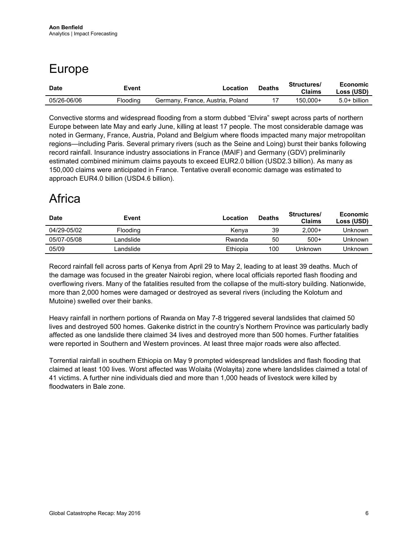# Europe

| <b>Date</b> | Event    | $\overline{\phantom{a}}$ $\overline{\phantom{a}}$ $\overline{\phantom{a}}$ $\overline{\phantom{a}}$ | <b>Deaths</b> | Structures/<br>Claims | Economic<br>Loss (USD) |
|-------------|----------|-----------------------------------------------------------------------------------------------------|---------------|-----------------------|------------------------|
| 05/26-06/06 | Flooding | Germany, France, Austria, Poland                                                                    |               | 150.000+              | $5.0+$ billion         |

Convective storms and widespread flooding from a storm dubbed "Elvira" swept across parts of northern Europe between late May and early June, killing at least 17 people. The most considerable damage was noted in Germany, France, Austria, Poland and Belgium where floods impacted many major metropolitan regions—including Paris. Several primary rivers (such as the Seine and Loing) burst their banks following record rainfall. Insurance industry associations in France (MAIF) and Germany (GDV) preliminarily estimated combined minimum claims payouts to exceed EUR2.0 billion (USD2.3 billion). As many as 150,000 claims were anticipated in France. Tentative overall economic damage was estimated to approach EUR4.0 billion (USD4.6 billion).

## <span id="page-5-0"></span>Africa

| <b>Date</b> | Event           | Location | <b>Deaths</b> | Structures/<br>Claims | Economic<br>Loss (USD) |
|-------------|-----------------|----------|---------------|-----------------------|------------------------|
| 04/29-05/02 | <b>Flooding</b> | Kenva    | 39            | $2.000+$              | Unknown                |
| 05/07-05/08 | ∟andslide       | Rwanda   | 50            | $500+$                | Unknown                |
| 05/09       | ∟andslide       | Ethiopia | 100           | Unknown.              | Unknown                |

Record rainfall fell across parts of Kenya from April 29 to May 2, leading to at least 39 deaths. Much of the damage was focused in the greater Nairobi region, where local officials reported flash flooding and overflowing rivers. Many of the fatalities resulted from the collapse of the multi-story building. Nationwide, more than 2,000 homes were damaged or destroyed as several rivers (including the Kolotum and Mutoine) swelled over their banks.

Heavy rainfall in northern portions of Rwanda on May 7-8 triggered several landslides that claimed 50 lives and destroyed 500 homes. Gakenke district in the country's Northern Province was particularly badly affected as one landslide there claimed 34 lives and destroyed more than 500 homes. Further fatalities were reported in Southern and Western provinces. At least three major roads were also affected.

<span id="page-5-1"></span>Torrential rainfall in southern Ethiopia on May 9 prompted widespread landslides and flash flooding that claimed at least 100 lives. Worst affected was Wolaita (Wolayita) zone where landslides claimed a total of 41 victims. A further nine individuals died and more than 1,000 heads of livestock were killed by floodwaters in Bale zone.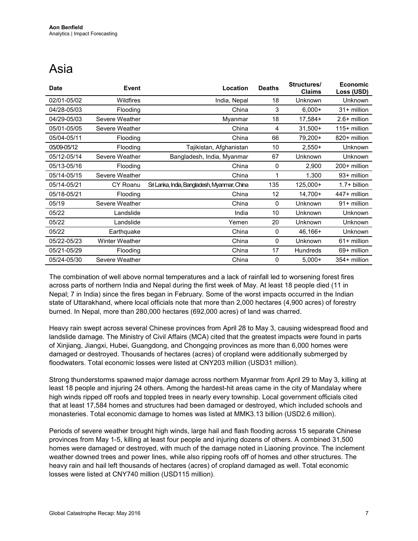## Asia

| <b>Date</b> | <b>Event</b>          | Location                                     | <b>Deaths</b> | Structures/<br><b>Claims</b> | <b>Economic</b><br>Loss (USD) |
|-------------|-----------------------|----------------------------------------------|---------------|------------------------------|-------------------------------|
| 02/01-05/02 | Wildfires             | India, Nepal                                 | 18            | Unknown                      | <b>Unknown</b>                |
| 04/28-05/03 | Flooding              | China                                        | 3             | $6,000+$                     | 31+ million                   |
| 04/29-05/03 | Severe Weather        | Myanmar                                      | 18            | $17.584+$                    | $2.6+$ million                |
| 05/01-05/05 | Severe Weather        | China                                        | 4             | $31,500+$                    | 115+ million                  |
| 05/04-05/11 | Flooding              | China                                        | 66            | 79,200+                      | 820+ million                  |
| 05/09-05/12 | Flooding              | Tajikistan, Afghanistan                      | 10            | $2,550+$                     | <b>Unknown</b>                |
| 05/12-05/14 | Severe Weather        | Bangladesh, India, Myanmar                   | 67            | Unknown                      | <b>Unknown</b>                |
| 05/13-05/16 | Flooding              | China                                        | 0             | 2,900                        | 200+ million                  |
| 05/14-05/15 | Severe Weather        | China                                        | 1             | 1,300                        | 93+ million                   |
| 05/14-05/21 | CY Roanu              | Sri Lanka, India, Bangladesh, Myanmar, China | 135           | 125,000+                     | $1.7+$ billion                |
| 05/18-05/21 | Flooding              | China                                        | 12            | $14,700+$                    | 447+ million                  |
| 05/19       | Severe Weather        | China                                        | $\mathbf{0}$  | Unknown                      | 91+ million                   |
| 05/22       | Landslide             | India                                        | 10            | Unknown                      | <b>Unknown</b>                |
| 05/22       | Landslide             | Yemen                                        | 20            | Unknown                      | Unknown                       |
| 05/22       | Earthquake            | China                                        | 0             | 46,166+                      | Unknown                       |
| 05/22-05/23 | <b>Winter Weather</b> | China                                        | $\mathbf{0}$  | Unknown                      | 61+ million                   |
| 05/21-05/29 | Flooding              | China                                        | 17            | <b>Hundreds</b>              | 69+ million                   |
| 05/24-05/30 | Severe Weather        | China                                        | 0             | $5,000+$                     | 354+ million                  |

The combination of well above normal temperatures and a lack of rainfall led to worsening forest fires across parts of northern India and Nepal during the first week of May. At least 18 people died (11 in Nepal; 7 in India) since the fires began in February. Some of the worst impacts occurred in the Indian state of Uttarakhand, where local officials note that more than 2,000 hectares (4,900 acres) of forestry burned. In Nepal, more than 280,000 hectares (692,000 acres) of land was charred.

Heavy rain swept across several Chinese provinces from April 28 to May 3, causing widespread flood and landslide damage. The Ministry of Civil Affairs (MCA) cited that the greatest impacts were found in parts of Xinjiang, Jiangxi, Hubei, Guangdong, and Chongqing provinces as more than 6,000 homes were damaged or destroyed. Thousands of hectares (acres) of cropland were additionally submerged by floodwaters. Total economic losses were listed at CNY203 million (USD31 million).

Strong thunderstorms spawned major damage across northern Myanmar from April 29 to May 3, killing at least 18 people and injuring 24 others. Among the hardest-hit areas came in the city of Mandalay where high winds ripped off roofs and toppled trees in nearly every township. Local government officials cited that at least 17,584 homes and structures had been damaged or destroyed, which included schools and monasteries. Total economic damage to homes was listed at MMK3.13 billion (USD2.6 million).

Periods of severe weather brought high winds, large hail and flash flooding across 15 separate Chinese provinces from May 1-5, killing at least four people and injuring dozens of others. A combined 31,500 homes were damaged or destroyed, with much of the damage noted in Liaoning province. The inclement weather downed trees and power lines, while also ripping roofs off of homes and other structures. The heavy rain and hail left thousands of hectares (acres) of cropland damaged as well. Total economic losses were listed at CNY740 million (USD115 million).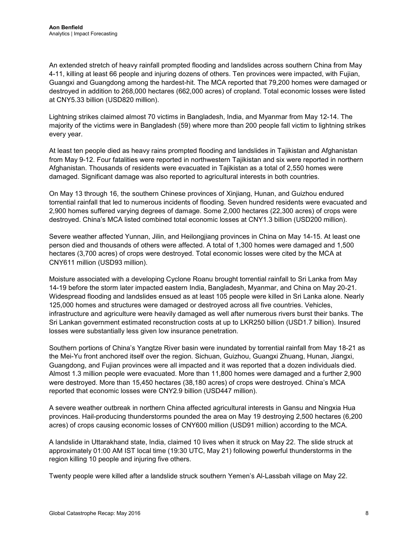An extended stretch of heavy rainfall prompted flooding and landslides across southern China from May 4-11, killing at least 66 people and injuring dozens of others. Ten provinces were impacted, with Fujian, Guangxi and Guangdong among the hardest-hit. The MCA reported that 79,200 homes were damaged or destroyed in addition to 268,000 hectares (662,000 acres) of cropland. Total economic losses were listed at CNY5.33 billion (USD820 million).

Lightning strikes claimed almost 70 victims in Bangladesh, India, and Myanmar from May 12-14. The majority of the victims were in Bangladesh (59) where more than 200 people fall victim to lightning strikes every year.

At least ten people died as heavy rains prompted flooding and landslides in Tajikistan and Afghanistan from May 9-12. Four fatalities were reported in northwestern Tajikistan and six were reported in northern Afghanistan. Thousands of residents were evacuated in Tajikistan as a total of 2,550 homes were damaged. Significant damage was also reported to agricultural interests in both countries.

On May 13 through 16, the southern Chinese provinces of Xinjiang, Hunan, and Guizhou endured torrential rainfall that led to numerous incidents of flooding. Seven hundred residents were evacuated and 2,900 homes suffered varying degrees of damage. Some 2,000 hectares (22,300 acres) of crops were destroyed. China's MCA listed combined total economic losses at CNY1.3 billion (USD200 million).

Severe weather affected Yunnan, Jilin, and Heilongjiang provinces in China on May 14-15. At least one person died and thousands of others were affected. A total of 1,300 homes were damaged and 1,500 hectares (3,700 acres) of crops were destroyed. Total economic losses were cited by the MCA at CNY611 million (USD93 million).

Moisture associated with a developing Cyclone Roanu brought torrential rainfall to Sri Lanka from May 14-19 before the storm later impacted eastern India, Bangladesh, Myanmar, and China on May 20-21. Widespread flooding and landslides ensued as at least 105 people were killed in Sri Lanka alone. Nearly 125,000 homes and structures were damaged or destroyed across all five countries. Vehicles, infrastructure and agriculture were heavily damaged as well after numerous rivers burst their banks. The Sri Lankan government estimated reconstruction costs at up to LKR250 billion (USD1.7 billion). Insured losses were substantially less given low insurance penetration.

Southern portions of China's Yangtze River basin were inundated by torrential rainfall from May 18-21 as the Mei-Yu front anchored itself over the region. Sichuan, Guizhou, Guangxi Zhuang, Hunan, Jiangxi, Guangdong, and Fujian provinces were all impacted and it was reported that a dozen individuals died. Almost 1.3 million people were evacuated. More than 11,800 homes were damaged and a further 2,900 were destroyed. More than 15,450 hectares (38,180 acres) of crops were destroyed. China's MCA reported that economic losses were CNY2.9 billion (USD447 million).

A severe weather outbreak in northern China affected agricultural interests in Gansu and Ningxia Hua provinces. Hail-producing thunderstorms pounded the area on May 19 destroying 2,500 hectares (6,200 acres) of crops causing economic losses of CNY600 million (USD91 million) according to the MCA.

A landslide in Uttarakhand state, India, claimed 10 lives when it struck on May 22. The slide struck at approximately 01:00 AM IST local time (19:30 UTC, May 21) following powerful thunderstorms in the region killing 10 people and injuring five others.

Twenty people were killed after a landslide struck southern Yemen's Al-Lassbah village on May 22.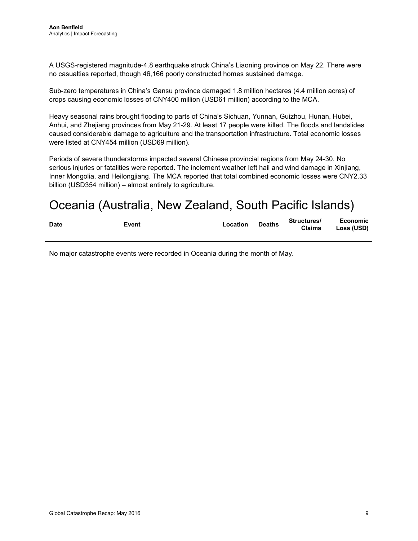A USGS-registered magnitude-4.8 earthquake struck China's Liaoning province on May 22. There were no casualties reported, though 46,166 poorly constructed homes sustained damage.

Sub-zero temperatures in China's Gansu province damaged 1.8 million hectares (4.4 million acres) of crops causing economic losses of CNY400 million (USD61 million) according to the MCA.

Heavy seasonal rains brought flooding to parts of China's Sichuan, Yunnan, Guizhou, Hunan, Hubei, Anhui, and Zhejiang provinces from May 21-29. At least 17 people were killed. The floods and landslides caused considerable damage to agriculture and the transportation infrastructure. Total economic losses were listed at CNY454 million (USD69 million).

Periods of severe thunderstorms impacted several Chinese provincial regions from May 24-30. No serious injuries or fatalities were reported. The inclement weather left hail and wind damage in Xinjiang, Inner Mongolia, and Heilongjiang. The MCA reported that total combined economic losses were CNY2.33 billion (USD354 million) – almost entirely to agriculture.

## <span id="page-8-0"></span>Oceania (Australia, New Zealand, South Pacific Islands)

| <b>Date</b> | Event | ∟ocation | <b>Deaths</b> | Structures/<br><b>Claims</b> | Economic<br>Loss (USD) |
|-------------|-------|----------|---------------|------------------------------|------------------------|
|             |       |          |               |                              |                        |

No major catastrophe events were recorded in Oceania during the month of May.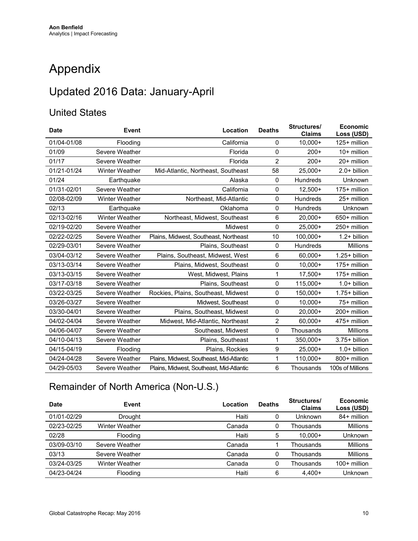# <span id="page-9-0"></span>Appendix

## Updated 2016 Data: January-April

#### United States

| <b>Date</b> | <b>Event</b>          | Location                                 | <b>Deaths</b>    | Structures/<br><b>Claims</b> | Economic<br>Loss (USD) |
|-------------|-----------------------|------------------------------------------|------------------|------------------------------|------------------------|
| 01/04-01/08 | Flooding              | California                               | 0                | $10,000+$                    | 125+ million           |
| 01/09       | Severe Weather        | Florida                                  | 0                | $200+$                       | $10+$ million          |
| 01/17       | Severe Weather        | Florida                                  | $\overline{2}$   | $200+$                       | 20+ million            |
| 01/21-01/24 | <b>Winter Weather</b> | Mid-Atlantic, Northeast, Southeast       | 58               | 25,000+                      | $2.0+$ billion         |
| 01/24       | Earthquake            | Alaska                                   | 0                | Hundreds                     | Unknown                |
| 01/31-02/01 | Severe Weather        | California                               | $\mathbf 0$      | $12,500+$                    | 175+ million           |
| 02/08-02/09 | <b>Winter Weather</b> | Northeast, Mid-Atlantic                  | $\mathbf 0$      | Hundreds                     | 25+ million            |
| 02/13       | Earthquake            | Oklahoma                                 | $\mathbf 0$      | <b>Hundreds</b>              | <b>Unknown</b>         |
| 02/13-02/16 | <b>Winter Weather</b> | Northeast, Midwest, Southeast            | 6                | $20.000+$                    | 650+ million           |
| 02/19-02/20 | Severe Weather        | Midwest                                  | $\mathbf 0$      | $25,000+$                    | 250+ million           |
| 02/22-02/25 | Severe Weather        | Plains, Midwest, Southeast, Northeast    | 10               | 100,000+                     | $1.2+$ billion         |
| 02/29-03/01 | Severe Weather        | Plains, Southeast                        | $\Omega$         | <b>Hundreds</b>              | <b>Millions</b>        |
| 03/04-03/12 | Severe Weather        | Plains, Southeast, Midwest, West         | 6                | $60.000 +$                   | $1.25 + billion$       |
| 03/13-03/14 | Severe Weather        | Plains, Midwest, Southeast               | $\mathbf 0$      | $10,000+$                    | 175+ million           |
| 03/13-03/15 | Severe Weather        | West, Midwest, Plains                    | 1                | $17,500+$                    | 175+ million           |
| 03/17-03/18 | Severe Weather        | Plains, Southeast                        | $\mathbf 0$      | 115,000+                     | $1.0+$ billion         |
| 03/22-03/25 | Severe Weather        | Rockies, Plains, Southeast, Midwest      | 0                | 150.000+                     | $1.75 + billion$       |
| 03/26-03/27 | Severe Weather        | Midwest, Southeast                       | $\mathbf 0$      | $10.000+$                    | 75+ million            |
| 03/30-04/01 | Severe Weather        | Plains, Southeast, Midwest               | $\mathbf 0$      | $20,000+$                    | 200+ million           |
| 04/02-04/04 | Severe Weather        | Midwest, Mid-Atlantic, Northeast         | $\overline{2}$   | 60,000+                      | 475+ million           |
| 04/06-04/07 | Severe Weather        | Southeast, Midwest                       | $\mathbf 0$      | Thousands                    | <b>Millions</b>        |
| 04/10-04/13 | Severe Weather        | Plains, Southeast                        | 1                | 350,000+                     | $3.75 + billion$       |
| 04/15-04/19 | Flooding              | Plains, Rockies                          | $\boldsymbol{9}$ | $25,000+$                    | $1.0+$ billion         |
| 04/24-04/28 | Severe Weather        | Plains, Midwest, Southeast, Mid-Atlantic | 1                | 110,000+                     | 800+ million           |
| 04/29-05/03 | Severe Weather        | Plains, Midwest, Southeast, Mid-Atlantic | 6                | Thousands                    | 100s of Millions       |

## Remainder of North America (Non-U.S.)

| <b>Date</b> | Event                 | Location | <b>Deaths</b> | Structures/<br>Claims | <b>Economic</b><br>Loss (USD) |
|-------------|-----------------------|----------|---------------|-----------------------|-------------------------------|
| 01/01-02/29 | <b>Drought</b>        | Haiti    |               | Unknown               | 84+ million                   |
| 02/23-02/25 | <b>Winter Weather</b> | Canada   |               | Thousands             | <b>Millions</b>               |
| 02/28       | Flooding              | Haiti    | 5             | $10.000+$             | Unknown                       |
| 03/09-03/10 | Severe Weather        | Canada   |               | Thousands             | <b>Millions</b>               |
| 03/13       | Severe Weather        | Canada   |               | Thousands             | <b>Millions</b>               |
| 03/24-03/25 | <b>Winter Weather</b> | Canada   |               | Thousands             | $100+$ million                |
| 04/23-04/24 | Flooding              | Haiti    | 6             | $4.400+$              | Unknown                       |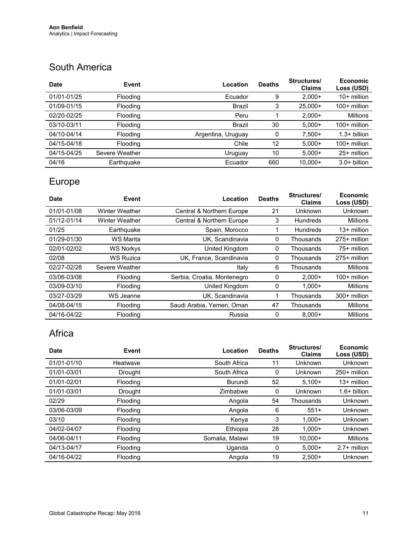#### South America

| <b>Date</b> | Event           | Location           | <b>Deaths</b> | Structures/<br><b>Claims</b> | <b>Economic</b><br>Loss (USD) |
|-------------|-----------------|--------------------|---------------|------------------------------|-------------------------------|
| 01/01-01/25 | <b>Flooding</b> | Ecuador            | 9             | $2.000+$                     | $10+$ million                 |
| 01/09-01/15 | <b>Flooding</b> | Brazil             | 3             | $25.000+$                    | $100+$ million                |
| 02/20-02/25 | <b>Flooding</b> | Peru               |               | $2.000+$                     | <b>Millions</b>               |
| 03/10-03/11 | <b>Flooding</b> | Brazil             | 30            | $5.000+$                     | $100+$ million                |
| 04/10-04/14 | Flooding        | Argentina, Uruguay | 0             | $7.500+$                     | $1.3+$ billion                |
| 04/15-04/18 | <b>Flooding</b> | Chile              | 12            | $5.000+$                     | $100+$ million                |
| 04/15-04/25 | Severe Weather  | Uruguay            | 10            | $5.000+$                     | 25+ million                   |
| 04/16       | Earthquake      | Ecuador            | 660           | $10.000+$                    | $3.0+$ billion                |

#### Europe

| <b>Date</b> | Event                 | Location                    | <b>Deaths</b> | Structures/<br><b>Claims</b> | <b>Economic</b><br>Loss (USD) |
|-------------|-----------------------|-----------------------------|---------------|------------------------------|-------------------------------|
| 01/01-01/08 | <b>Winter Weather</b> | Central & Northern Europe   | 21            | Unknown                      | <b>Unknown</b>                |
| 01/12-01/14 | <b>Winter Weather</b> | Central & Northern Europe   | 3             | <b>Hundreds</b>              | <b>Millions</b>               |
| 01/25       | Earthquake            | Spain, Morocco              |               | <b>Hundreds</b>              | $13+$ million                 |
| 01/29-01/30 | WS Marita             | UK, Scandinavia             | 0             | Thousands                    | 275+ million                  |
| 02/01-02/02 | <b>WS Norkys</b>      | United Kingdom              | 0             | Thousands                    | 75+ million                   |
| 02/08       | <b>WS Ruzica</b>      | UK, France, Scandinavia     | 0             | Thousands                    | 275+ million                  |
| 02/27-02/28 | Severe Weather        | Italy                       | 6             | Thousands                    | Millions                      |
| 03/06-03/08 | Flooding              | Serbia, Croatia, Montenegro | 0             | $2.000+$                     | $100+$ million                |
| 03/09-03/10 | <b>Flooding</b>       | United Kingdom              | 0             | $1.000+$                     | Millions                      |
| 03/27-03/29 | WS Jeanne             | UK, Scandinavia             |               | Thousands                    | 300+ million                  |
| 04/08-04/15 | Flooding              | Saudi Arabia, Yemen, Oman   | 47            | Thousands                    | Millions                      |
| 04/16-04/22 | Flooding              | Russia                      | 0             | $8.000 +$                    | <b>Millions</b>               |

## Africa

| Date        | <b>Event</b> | Location        | <b>Deaths</b> | Structures/<br><b>Claims</b> | <b>Economic</b><br>Loss (USD) |
|-------------|--------------|-----------------|---------------|------------------------------|-------------------------------|
| 01/01-01/10 | Heatwave     | South Africa    | 11            | Unknown                      | <b>Unknown</b>                |
| 01/01-03/01 | Drought      | South Africa    | 0             | Unknown                      | 250+ million                  |
| 01/01-02/01 | Flooding     | Burundi         | 52            | $5,100+$                     | $13+$ million                 |
| 01/01-03/01 | Drought      | Zimbabwe        | 0             | Unknown                      | $1.6+$ billion                |
| 02/29       | Flooding     | Angola          | 54            | Thousands                    | <b>Unknown</b>                |
| 03/06-03/09 | Flooding     | Angola          | 6             | $551+$                       | <b>Unknown</b>                |
| 03/10       | Flooding     | Kenya           | 3             | $1.000+$                     | <b>Unknown</b>                |
| 04/02-04/07 | Flooding     | Ethiopia        | 28            | $1.000+$                     | <b>Unknown</b>                |
| 04/06-04/11 | Flooding     | Somalia, Malawi | 19            | $10,000+$                    | <b>Millions</b>               |
| 04/13-04/17 | Flooding     | Uganda          | 0             | $5.000+$                     | $2.7+$ million                |
| 04/16-04/22 | Flooding     | Angola          | 19            | $2.500+$                     | <b>Unknown</b>                |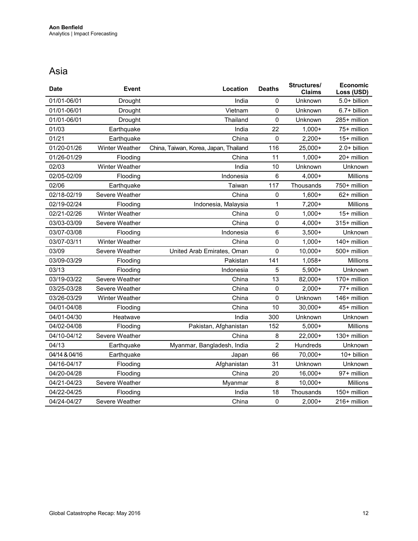#### Asia

| <b>Date</b>   | <b>Event</b>   | Location                              | <b>Deaths</b>  | Structures/<br><b>Claims</b> | <b>Economic</b><br>Loss (USD) |
|---------------|----------------|---------------------------------------|----------------|------------------------------|-------------------------------|
| 01/01-06/01   | Drought        | India                                 | $\mathsf 0$    | Unknown                      | 5.0+ billion                  |
| 01/01-06/01   | Drought        | Vietnam                               | $\mathbf 0$    | Unknown                      | 6.7+ billion                  |
| 01/01-06/01   | Drought        | Thailand                              | $\mathbf{0}$   | Unknown                      | 285+ million                  |
| 01/03         | Earthquake     | India                                 | 22             | $1,000+$                     | 75+ million                   |
| 01/21         | Earthquake     | China                                 | 0              | $2,200+$                     | 15+ million                   |
| 01/20-01/26   | Winter Weather | China, Taiwan, Korea, Japan, Thailand | 116            | $25,000+$                    | 2.0+ billion                  |
| 01/26-01/29   | Flooding       | China                                 | 11             | $1,000+$                     | 20+ million                   |
| 02/03         | Winter Weather | India                                 | 10             | Unknown                      | Unknown                       |
| 02/05-02/09   | Flooding       | Indonesia                             | $6\phantom{1}$ | $4,000+$                     | <b>Millions</b>               |
| 02/06         | Earthquake     | Taiwan                                | 117            | Thousands                    | 750+ million                  |
| 02/18-02/19   | Severe Weather | China                                 | 0              | $1,600+$                     | 62+ million                   |
| 02/19-02/24   | Flooding       | Indonesia, Malaysia                   | 1              | $7,200+$                     | Millions                      |
| 02/21-02/26   | Winter Weather | China                                 | 0              | $1,000+$                     | 15+ million                   |
| 03/03-03/09   | Severe Weather | China                                 | $\mathbf 0$    | $4,000+$                     | 315+ million                  |
| 03/07-03/08   | Flooding       | Indonesia                             | 6              | $3,500+$                     | Unknown                       |
| 03/07-03/11   | Winter Weather | China                                 | 0              | $1,000+$                     | 140+ million                  |
| 03/09         | Severe Weather | United Arab Emirates, Oman            | 0              | $10,000+$                    | 500+ million                  |
| 03/09-03/29   | Flooding       | Pakistan                              | 141            | $1,058+$                     | <b>Millions</b>               |
| 03/13         | Flooding       | Indonesia                             | 5              | $5,900+$                     | Unknown                       |
| 03/19-03/22   | Severe Weather | China                                 | 13             | 82,000+                      | 170+ million                  |
| 03/25-03/28   | Severe Weather | China                                 | $\mathsf 0$    | $2,000+$                     | 77+ million                   |
| 03/26-03/29   | Winter Weather | China                                 | $\mathbf 0$    | Unknown                      | 146+ million                  |
| 04/01-04/08   | Flooding       | China                                 | 10             | $30,000+$                    | 45+ million                   |
| 04/01-04/30   | Heatwave       | India                                 | 300            | Unknown                      | Unknown                       |
| 04/02-04/08   | Flooding       | Pakistan, Afghanistan                 | 152            | $5,000+$                     | <b>Millions</b>               |
| 04/10-04/12   | Severe Weather | China                                 | 8              | $22,000+$                    | 130+ million                  |
| 04/13         | Earthquake     | Myanmar, Bangladesh, India            | $\overline{2}$ | Hundreds                     | Unknown                       |
| 04/14 & 04/16 | Earthquake     | Japan                                 | 66             | 70,000+                      | 10+ billion                   |
| 04/16-04/17   | Flooding       | Afghanistan                           | 31             | Unknown                      | Unknown                       |
| 04/20-04/28   | Flooding       | China                                 | 20             | 16,000+                      | 97+ million                   |
| 04/21-04/23   | Severe Weather | Myanmar                               | 8              | $10,000+$                    | <b>Millions</b>               |
| 04/22-04/25   | Flooding       | India                                 | 18             | Thousands                    | 150+ million                  |
| 04/24-04/27   | Severe Weather | China                                 | $\pmb{0}$      | $2,000+$                     | 216+ million                  |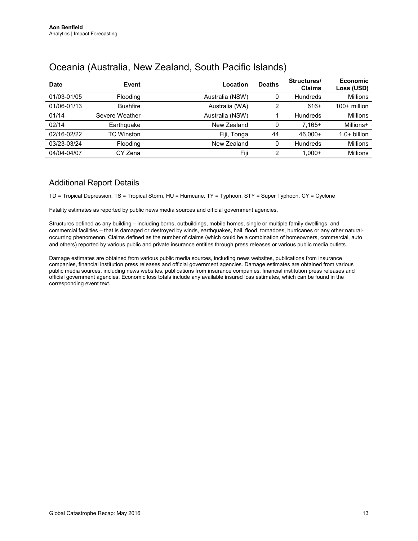| <b>Date</b> | Event           | Location        | <b>Deaths</b> | Structures/<br><b>Claims</b> | <b>Economic</b><br>Loss (USD) |
|-------------|-----------------|-----------------|---------------|------------------------------|-------------------------------|
| 01/03-01/05 | Flooding        | Australia (NSW) |               | <b>Hundreds</b>              | Millions                      |
| 01/06-01/13 | <b>Bushfire</b> | Australia (WA)  | ◠             | $616+$                       | $100+$ million                |
| 01/14       | Severe Weather  | Australia (NSW) |               | <b>Hundreds</b>              | <b>Millions</b>               |
| 02/14       | Earthquake      | New Zealand     |               | $7.165+$                     | Millions+                     |
| 02/16-02/22 | TC Winston      | Fiji, Tonga     | 44            | 46.000+                      | $1.0+$ billion                |
| 03/23-03/24 | Flooding        | New Zealand     |               | <b>Hundreds</b>              | <b>Millions</b>               |
| 04/04-04/07 | CY Zena         | Fiji            | າ             | $1.000+$                     | Millions                      |

#### Oceania (Australia, New Zealand, South Pacific Islands)

#### Additional Report Details

TD = Tropical Depression, TS = Tropical Storm, HU = Hurricane, TY = Typhoon, STY = Super Typhoon, CY = Cyclone

Fatality estimates as reported by public news media sources and official government agencies.

Structures defined as any building – including barns, outbuildings, mobile homes, single or multiple family dwellings, and commercial facilities – that is damaged or destroyed by winds, earthquakes, hail, flood, tornadoes, hurricanes or any other naturaloccurring phenomenon. Claims defined as the number of claims (which could be a combination of homeowners, commercial, auto and others) reported by various public and private insurance entities through press releases or various public media outlets.

Damage estimates are obtained from various public media sources, including news websites, publications from insurance companies, financial institution press releases and official government agencies. Damage estimates are obtained from various public media sources, including news websites, publications from insurance companies, financial institution press releases and official government agencies. Economic loss totals include any available insured loss estimates, which can be found in the corresponding event text.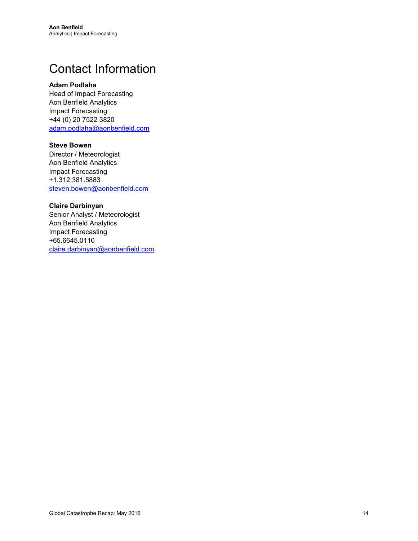## <span id="page-13-0"></span>Contact Information

#### **Adam Podlaha**

Head of Impact Forecasting Aon Benfield Analytics Impact Forecasting +44 (0) 20 7522 3820 [adam.podlaha@aonbenfield.com](mailto:adam.podlaha@aonbenfield.com)

#### **Steve Bowen**

Director / Meteorologist Aon Benfield Analytics Impact Forecasting +1.312.381.5883 [steven.bowen@aonbenfield.com](mailto:steven.bowen@aonbenfield.com)

#### **Claire Darbinyan**

Senior Analyst / Meteorologist Aon Benfield Analytics Impact Forecasting +65.6645.0110 [claire.darbinyan@aonbenfield.com](mailto:claire.darbinyan@aonbenfield.com)